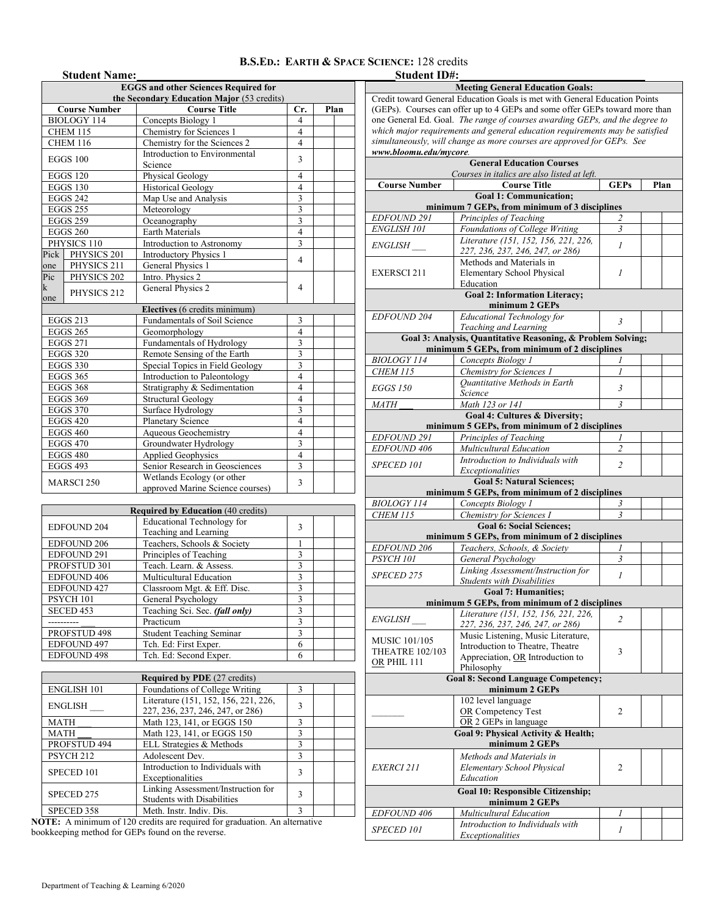## **B.S.ED.: EARTH & SPACE SCIENCE:** 128 credits

|                  | <b>Student Name:</b>                                                                                                                                                                                                                                                                                                                                                                                                                                                                                                                                                                   |                                                                                                                                                                                                                                                                                                                                                                                                                                                                                                                                                                                                                                                                                                           |                         |      |
|------------------|----------------------------------------------------------------------------------------------------------------------------------------------------------------------------------------------------------------------------------------------------------------------------------------------------------------------------------------------------------------------------------------------------------------------------------------------------------------------------------------------------------------------------------------------------------------------------------------|-----------------------------------------------------------------------------------------------------------------------------------------------------------------------------------------------------------------------------------------------------------------------------------------------------------------------------------------------------------------------------------------------------------------------------------------------------------------------------------------------------------------------------------------------------------------------------------------------------------------------------------------------------------------------------------------------------------|-------------------------|------|
|                  |                                                                                                                                                                                                                                                                                                                                                                                                                                                                                                                                                                                        |                                                                                                                                                                                                                                                                                                                                                                                                                                                                                                                                                                                                                                                                                                           |                         |      |
|                  |                                                                                                                                                                                                                                                                                                                                                                                                                                                                                                                                                                                        |                                                                                                                                                                                                                                                                                                                                                                                                                                                                                                                                                                                                                                                                                                           |                         |      |
|                  |                                                                                                                                                                                                                                                                                                                                                                                                                                                                                                                                                                                        |                                                                                                                                                                                                                                                                                                                                                                                                                                                                                                                                                                                                                                                                                                           | Cr.                     | Plan |
|                  |                                                                                                                                                                                                                                                                                                                                                                                                                                                                                                                                                                                        |                                                                                                                                                                                                                                                                                                                                                                                                                                                                                                                                                                                                                                                                                                           | 4                       |      |
|                  |                                                                                                                                                                                                                                                                                                                                                                                                                                                                                                                                                                                        |                                                                                                                                                                                                                                                                                                                                                                                                                                                                                                                                                                                                                                                                                                           | $\overline{4}$          |      |
|                  |                                                                                                                                                                                                                                                                                                                                                                                                                                                                                                                                                                                        |                                                                                                                                                                                                                                                                                                                                                                                                                                                                                                                                                                                                                                                                                                           | 4                       |      |
|                  |                                                                                                                                                                                                                                                                                                                                                                                                                                                                                                                                                                                        |                                                                                                                                                                                                                                                                                                                                                                                                                                                                                                                                                                                                                                                                                                           | 3                       |      |
|                  | <b>Course Number</b><br><b>BIOLOGY 114</b><br>CHEM 115<br><b>CHEM 116</b><br><b>EGGS 100</b><br><b>EGGS 120</b><br><b>EGGS 130</b><br><b>EGGS 242</b><br><b>EGGS 255</b><br><b>EGGS 259</b><br><b>EGGS 260</b><br>PHYSICS 110<br>Pick PHYSICS 201<br>PHYSICS 211<br>PHYSICS 202<br>PHYSICS 212<br><b>EGGS 213</b><br><b>EGGS 265</b><br><b>EGGS 271</b><br><b>EGGS 320</b><br><b>EGGS 330</b><br><b>EGGS 365</b><br><b>EGGS 368</b><br><b>EGGS 369</b><br><b>EGGS 370</b><br><b>EGGS 420</b><br><b>EGGS 460</b><br><b>EGGS 470</b><br><b>EGGS 480</b><br><b>EGGS 493</b><br>MARSCI 250 |                                                                                                                                                                                                                                                                                                                                                                                                                                                                                                                                                                                                                                                                                                           |                         |      |
|                  |                                                                                                                                                                                                                                                                                                                                                                                                                                                                                                                                                                                        |                                                                                                                                                                                                                                                                                                                                                                                                                                                                                                                                                                                                                                                                                                           | $\overline{4}$          |      |
|                  |                                                                                                                                                                                                                                                                                                                                                                                                                                                                                                                                                                                        |                                                                                                                                                                                                                                                                                                                                                                                                                                                                                                                                                                                                                                                                                                           | $\overline{4}$          |      |
|                  |                                                                                                                                                                                                                                                                                                                                                                                                                                                                                                                                                                                        |                                                                                                                                                                                                                                                                                                                                                                                                                                                                                                                                                                                                                                                                                                           | 3                       |      |
|                  |                                                                                                                                                                                                                                                                                                                                                                                                                                                                                                                                                                                        |                                                                                                                                                                                                                                                                                                                                                                                                                                                                                                                                                                                                                                                                                                           | $\overline{\mathbf{3}}$ |      |
|                  |                                                                                                                                                                                                                                                                                                                                                                                                                                                                                                                                                                                        |                                                                                                                                                                                                                                                                                                                                                                                                                                                                                                                                                                                                                                                                                                           | $\overline{\mathbf{3}}$ |      |
|                  |                                                                                                                                                                                                                                                                                                                                                                                                                                                                                                                                                                                        |                                                                                                                                                                                                                                                                                                                                                                                                                                                                                                                                                                                                                                                                                                           | $\overline{4}$          |      |
|                  |                                                                                                                                                                                                                                                                                                                                                                                                                                                                                                                                                                                        | Introduction to Astronomy                                                                                                                                                                                                                                                                                                                                                                                                                                                                                                                                                                                                                                                                                 | 3                       |      |
|                  |                                                                                                                                                                                                                                                                                                                                                                                                                                                                                                                                                                                        | <b>Introductory Physics 1</b>                                                                                                                                                                                                                                                                                                                                                                                                                                                                                                                                                                                                                                                                             | 4                       |      |
| one              |                                                                                                                                                                                                                                                                                                                                                                                                                                                                                                                                                                                        |                                                                                                                                                                                                                                                                                                                                                                                                                                                                                                                                                                                                                                                                                                           |                         |      |
| $\overline{Pic}$ |                                                                                                                                                                                                                                                                                                                                                                                                                                                                                                                                                                                        | Intro. Physics 2                                                                                                                                                                                                                                                                                                                                                                                                                                                                                                                                                                                                                                                                                          |                         |      |
| k                |                                                                                                                                                                                                                                                                                                                                                                                                                                                                                                                                                                                        | General Physics 2                                                                                                                                                                                                                                                                                                                                                                                                                                                                                                                                                                                                                                                                                         | 4                       |      |
| one              |                                                                                                                                                                                                                                                                                                                                                                                                                                                                                                                                                                                        |                                                                                                                                                                                                                                                                                                                                                                                                                                                                                                                                                                                                                                                                                                           |                         |      |
|                  |                                                                                                                                                                                                                                                                                                                                                                                                                                                                                                                                                                                        |                                                                                                                                                                                                                                                                                                                                                                                                                                                                                                                                                                                                                                                                                                           |                         |      |
|                  |                                                                                                                                                                                                                                                                                                                                                                                                                                                                                                                                                                                        |                                                                                                                                                                                                                                                                                                                                                                                                                                                                                                                                                                                                                                                                                                           | 3                       |      |
|                  |                                                                                                                                                                                                                                                                                                                                                                                                                                                                                                                                                                                        | Geomorphology                                                                                                                                                                                                                                                                                                                                                                                                                                                                                                                                                                                                                                                                                             | $\overline{4}$          |      |
|                  |                                                                                                                                                                                                                                                                                                                                                                                                                                                                                                                                                                                        | Fundamentals of Hydrology                                                                                                                                                                                                                                                                                                                                                                                                                                                                                                                                                                                                                                                                                 | 3                       |      |
|                  |                                                                                                                                                                                                                                                                                                                                                                                                                                                                                                                                                                                        | Remote Sensing of the Earth                                                                                                                                                                                                                                                                                                                                                                                                                                                                                                                                                                                                                                                                               | $\overline{\mathbf{3}}$ |      |
|                  |                                                                                                                                                                                                                                                                                                                                                                                                                                                                                                                                                                                        | Special Topics in Field Geology                                                                                                                                                                                                                                                                                                                                                                                                                                                                                                                                                                                                                                                                           | $\overline{3}$          |      |
|                  |                                                                                                                                                                                                                                                                                                                                                                                                                                                                                                                                                                                        | Introduction to Paleontology                                                                                                                                                                                                                                                                                                                                                                                                                                                                                                                                                                                                                                                                              | $\overline{4}$          |      |
|                  |                                                                                                                                                                                                                                                                                                                                                                                                                                                                                                                                                                                        | Stratigraphy & Sedimentation                                                                                                                                                                                                                                                                                                                                                                                                                                                                                                                                                                                                                                                                              | $\overline{4}$          |      |
|                  |                                                                                                                                                                                                                                                                                                                                                                                                                                                                                                                                                                                        | <b>Structural Geology</b>                                                                                                                                                                                                                                                                                                                                                                                                                                                                                                                                                                                                                                                                                 | $\overline{4}$          |      |
|                  |                                                                                                                                                                                                                                                                                                                                                                                                                                                                                                                                                                                        | <b>EGGS and other Sciences Required for</b><br>the Secondary Education Major (53 credits)<br><b>Course Title</b><br>Concepts Biology 1<br>Chemistry for Sciences 1<br>Chemistry for the Sciences 2<br>Introduction to Environmental<br>Science<br>Physical Geology<br><b>Historical Geology</b><br>Map Use and Analysis<br>Meteorology<br>Oceanography<br><b>Earth Materials</b><br>General Physics 1<br>Electives (6 credits minimum)<br>Fundamentals of Soil Science<br>Surface Hydrology<br><b>Planetary Science</b><br>Aqueous Geochemistry<br>Groundwater Hydrology<br><b>Applied Geophysics</b><br>Senior Research in Geosciences<br>Wetlands Ecology (or other<br>approved Marine Science courses) |                         |      |
|                  |                                                                                                                                                                                                                                                                                                                                                                                                                                                                                                                                                                                        |                                                                                                                                                                                                                                                                                                                                                                                                                                                                                                                                                                                                                                                                                                           | $\overline{4}$          |      |
|                  |                                                                                                                                                                                                                                                                                                                                                                                                                                                                                                                                                                                        |                                                                                                                                                                                                                                                                                                                                                                                                                                                                                                                                                                                                                                                                                                           | $\overline{\mathbf{4}}$ |      |
|                  |                                                                                                                                                                                                                                                                                                                                                                                                                                                                                                                                                                                        |                                                                                                                                                                                                                                                                                                                                                                                                                                                                                                                                                                                                                                                                                                           | 3                       |      |
|                  |                                                                                                                                                                                                                                                                                                                                                                                                                                                                                                                                                                                        |                                                                                                                                                                                                                                                                                                                                                                                                                                                                                                                                                                                                                                                                                                           | $\overline{4}$          |      |
|                  |                                                                                                                                                                                                                                                                                                                                                                                                                                                                                                                                                                                        |                                                                                                                                                                                                                                                                                                                                                                                                                                                                                                                                                                                                                                                                                                           | 3                       |      |
|                  |                                                                                                                                                                                                                                                                                                                                                                                                                                                                                                                                                                                        |                                                                                                                                                                                                                                                                                                                                                                                                                                                                                                                                                                                                                                                                                                           |                         |      |
|                  |                                                                                                                                                                                                                                                                                                                                                                                                                                                                                                                                                                                        | 3                                                                                                                                                                                                                                                                                                                                                                                                                                                                                                                                                                                                                                                                                                         |                         |      |
|                  |                                                                                                                                                                                                                                                                                                                                                                                                                                                                                                                                                                                        |                                                                                                                                                                                                                                                                                                                                                                                                                                                                                                                                                                                                                                                                                                           |                         |      |

| <b>Required by Education (40 credits)</b> |                                                            |   |  |  |  |  |  |
|-------------------------------------------|------------------------------------------------------------|---|--|--|--|--|--|
| <b>EDFOUND 204</b>                        | <b>Educational Technology for</b><br>Teaching and Learning | 3 |  |  |  |  |  |
| <b>EDFOUND 206</b>                        | Teachers, Schools & Society                                |   |  |  |  |  |  |
| <b>EDFOUND 291</b>                        | Principles of Teaching                                     | 3 |  |  |  |  |  |
| PROFSTUD 301                              | Teach. Learn. & Assess.                                    | 3 |  |  |  |  |  |
| EDFOUND 406                               | Multicultural Education                                    | 3 |  |  |  |  |  |
| <b>EDFOUND 427</b>                        | Classroom Mgt. & Eff. Disc.                                | 3 |  |  |  |  |  |
| PSYCH 101                                 | General Psychology                                         | 3 |  |  |  |  |  |
| SECED <sub>453</sub>                      | Teaching Sci. Sec. (fall only)                             | 3 |  |  |  |  |  |
|                                           | Practicum                                                  | 3 |  |  |  |  |  |
| PROFSTUD 498                              | <b>Student Teaching Seminar</b>                            | 3 |  |  |  |  |  |
| <b>EDFOUND 497</b>                        | Tch. Ed: First Exper.                                      | 6 |  |  |  |  |  |
| <b>EDFOUND 498</b>                        | Tch. Ed: Second Exper.                                     | 6 |  |  |  |  |  |

| <b>Required by PDE</b> (27 credits) |                                                                          |              |  |  |  |  |  |
|-------------------------------------|--------------------------------------------------------------------------|--------------|--|--|--|--|--|
| <b>ENGLISH 101</b>                  | 3                                                                        |              |  |  |  |  |  |
| <b>ENGLISH</b>                      | Literature (151, 152, 156, 221, 226,<br>227, 236, 237, 246, 247, or 286) | 3            |  |  |  |  |  |
| <b>MATH</b>                         | Math 123, 141, or EGGS 150                                               | 3            |  |  |  |  |  |
| <b>MATH</b>                         | Math 123, 141, or EGGS 150                                               | 3            |  |  |  |  |  |
| PROFSTUD 494                        | ELL Strategies & Methods                                                 | 3            |  |  |  |  |  |
| PSYCH <sub>212</sub>                | Adolescent Dev.                                                          | $\mathbf{3}$ |  |  |  |  |  |
| SPECED 101                          | Introduction to Individuals with<br>Exceptionalities                     | 3            |  |  |  |  |  |
| SPECED 275                          | Linking Assessment/Instruction for<br><b>Students with Disabilities</b>  | 3            |  |  |  |  |  |
| SPECED 358                          | Meth. Instr. Indiv. Dis.                                                 | ٩            |  |  |  |  |  |

**NOTE:** A minimum of 120 credits are required for graduation. An alternative bookkeeping method for GEPs found on the reverse.

| <b>Student ID#:</b>                 |                                                                              |                |      |  |  |  |  |  |  |
|-------------------------------------|------------------------------------------------------------------------------|----------------|------|--|--|--|--|--|--|
|                                     | <b>Meeting General Education Goals:</b>                                      |                |      |  |  |  |  |  |  |
|                                     | Credit toward General Education Goals is met with General Education Points   |                |      |  |  |  |  |  |  |
|                                     | (GEPs). Courses can offer up to 4 GEPs and some offer GEPs toward more than  |                |      |  |  |  |  |  |  |
|                                     | one General Ed. Goal. The range of courses awarding GEPs, and the degree to  |                |      |  |  |  |  |  |  |
|                                     | which major requirements and general education requirements may be satisfied |                |      |  |  |  |  |  |  |
|                                     | simultaneously, will change as more courses are approved for GEPs. See       |                |      |  |  |  |  |  |  |
| www.bloomu.edu/mycore.              |                                                                              |                |      |  |  |  |  |  |  |
|                                     | <b>General Education Courses</b>                                             |                |      |  |  |  |  |  |  |
| <b>Course Number</b>                | Courses in italics are also listed at left.<br><b>Course Title</b>           | <b>GEPs</b>    | Plan |  |  |  |  |  |  |
|                                     | <b>Goal 1: Communication:</b>                                                |                |      |  |  |  |  |  |  |
|                                     | minimum 7 GEPs, from minimum of 3 disciplines                                |                |      |  |  |  |  |  |  |
| <b>EDFOUND 291</b>                  | Principles of Teaching                                                       |                |      |  |  |  |  |  |  |
| <b>ENGLISH 101</b>                  | Foundations of College Writing                                               | $\mathfrak{Z}$ |      |  |  |  |  |  |  |
|                                     | Literature (151, 152, 156, 221, 226,                                         |                |      |  |  |  |  |  |  |
| <i>ENGLISH</i>                      | 227, 236, 237, 246, 247, or 286)                                             | $\mathcal{I}$  |      |  |  |  |  |  |  |
|                                     | Methods and Materials in                                                     |                |      |  |  |  |  |  |  |
| <b>EXERSCI211</b>                   | Elementary School Physical                                                   | 1              |      |  |  |  |  |  |  |
|                                     | Education                                                                    |                |      |  |  |  |  |  |  |
|                                     | <b>Goal 2: Information Literacy;</b>                                         |                |      |  |  |  |  |  |  |
|                                     | minimum 2 GEPs                                                               |                |      |  |  |  |  |  |  |
| EDFOUND 204                         | Educational Technology for                                                   | $\mathfrak{Z}$ |      |  |  |  |  |  |  |
|                                     | Teaching and Learning                                                        |                |      |  |  |  |  |  |  |
|                                     | Goal 3: Analysis, Quantitative Reasoning, & Problem Solving;                 |                |      |  |  |  |  |  |  |
|                                     | minimum 5 GEPs, from minimum of 2 disciplines                                |                |      |  |  |  |  |  |  |
| <b>BIOLOGY 114</b>                  | Concepts Biology 1                                                           |                |      |  |  |  |  |  |  |
| <b>CHEM 115</b>                     | Chemistry for Sciences 1                                                     | 1              |      |  |  |  |  |  |  |
| <b>EGGS 150</b>                     | Quantitative Methods in Earth                                                | 3              |      |  |  |  |  |  |  |
|                                     | Science                                                                      |                |      |  |  |  |  |  |  |
| Math 123 or 141<br>3<br><i>MATH</i> |                                                                              |                |      |  |  |  |  |  |  |
|                                     | Goal 4: Cultures & Diversity;                                                |                |      |  |  |  |  |  |  |
|                                     | minimum 5 GEPs, from minimum of 2 disciplines                                |                |      |  |  |  |  |  |  |
| EDFOUND 291                         | Principles of Teaching                                                       | 1              |      |  |  |  |  |  |  |
| <b>EDFOUND 406</b>                  | Multicultural Education                                                      | $\overline{2}$ |      |  |  |  |  |  |  |
| <b>SPECED 101</b>                   | Introduction to Individuals with                                             | $\overline{2}$ |      |  |  |  |  |  |  |
|                                     | Exceptionalities                                                             |                |      |  |  |  |  |  |  |
|                                     | <b>Goal 5: Natural Sciences;</b>                                             |                |      |  |  |  |  |  |  |
|                                     | minimum 5 GEPs, from minimum of 2 disciplines                                |                |      |  |  |  |  |  |  |
| <b>BIOLOGY 114</b>                  | Concepts Biology 1                                                           | 3              |      |  |  |  |  |  |  |
| <b>CHEM 115</b>                     | Chemistry for Sciences I                                                     | $\overline{3}$ |      |  |  |  |  |  |  |
|                                     | <b>Goal 6: Social Sciences;</b>                                              |                |      |  |  |  |  |  |  |
|                                     | minimum 5 GEPs, from minimum of 2 disciplines                                |                |      |  |  |  |  |  |  |
| <b>EDFOUND 206</b>                  | Teachers, Schools, & Society                                                 | 1              |      |  |  |  |  |  |  |
| PSYCH 101                           | General Psychology                                                           | 3              |      |  |  |  |  |  |  |
| SPECED 275                          | Linking Assessment/Instruction for                                           | $\mathcal{I}$  |      |  |  |  |  |  |  |
|                                     | <b>Students with Disabilities</b>                                            |                |      |  |  |  |  |  |  |
|                                     | Goal 7: Humanities;<br>minimum 5 GEPs, from minimum of 2 disciplines         |                |      |  |  |  |  |  |  |
|                                     | Literature (151, 152, 156, 221, 226,                                         |                |      |  |  |  |  |  |  |
| <i>ENGLISH</i>                      | 227, 236, 237, 246, 247, or 286)                                             | 2              |      |  |  |  |  |  |  |
|                                     | Music Listening, Music Literature,                                           |                |      |  |  |  |  |  |  |
| <b>MUSIC 101/105</b>                | Introduction to Theatre, Theatre                                             |                |      |  |  |  |  |  |  |
| <b>THEATRE 102/103</b>              | Appreciation, OR Introduction to                                             | 3              |      |  |  |  |  |  |  |
| OR PHIL 111                         | Philosophy                                                                   |                |      |  |  |  |  |  |  |
|                                     | <b>Goal 8: Second Language Competency;</b>                                   |                |      |  |  |  |  |  |  |
|                                     | minimum 2 GEPs                                                               |                |      |  |  |  |  |  |  |
|                                     | 102 level language                                                           |                |      |  |  |  |  |  |  |
|                                     | OR Competency Test                                                           | 2              |      |  |  |  |  |  |  |
|                                     | OR 2 GEPs in language                                                        |                |      |  |  |  |  |  |  |
|                                     | Goal 9: Physical Activity & Health;                                          |                |      |  |  |  |  |  |  |
|                                     | minimum 2 GEPs                                                               |                |      |  |  |  |  |  |  |
|                                     | Methods and Materials in                                                     |                |      |  |  |  |  |  |  |
| <i>EXERCI 211</i>                   | Elementary School Physical                                                   | 2              |      |  |  |  |  |  |  |
|                                     | Education                                                                    |                |      |  |  |  |  |  |  |
|                                     | <b>Goal 10: Responsible Citizenship;</b>                                     |                |      |  |  |  |  |  |  |
|                                     | minimum 2 GEPs                                                               |                |      |  |  |  |  |  |  |
| <i>EDFOUND 406</i>                  | Multicultural Education                                                      |                |      |  |  |  |  |  |  |

*SPECED 101 Introduction to Individuals with Exceptionalities <sup>1</sup>*